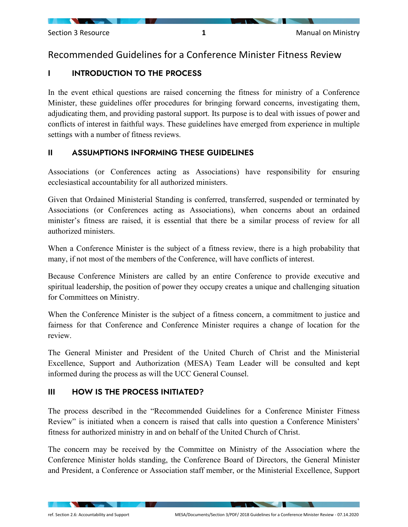## Recommended Guidelines for a Conference Minister Fitness Review

## I INTRODUCTION TO THE PROCESS

In the event ethical questions are raised concerning the fitness for ministry of a Conference Minister, these guidelines offer procedures for bringing forward concerns, investigating them, adjudicating them, and providing pastoral support. Its purpose is to deal with issues of power and conflicts of interest in faithful ways. These guidelines have emerged from experience in multiple settings with a number of fitness reviews.

### II ASSUMPTIONS INFORMING THESE GUIDELINES

Associations (or Conferences acting as Associations) have responsibility for ensuring ecclesiastical accountability for all authorized ministers.

Given that Ordained Ministerial Standing is conferred, transferred, suspended or terminated by Associations (or Conferences acting as Associations), when concerns about an ordained minister's fitness are raised, it is essential that there be a similar process of review for all authorized ministers.

When a Conference Minister is the subject of a fitness review, there is a high probability that many, if not most of the members of the Conference, will have conflicts of interest.

Because Conference Ministers are called by an entire Conference to provide executive and spiritual leadership, the position of power they occupy creates a unique and challenging situation for Committees on Ministry.

When the Conference Minister is the subject of a fitness concern, a commitment to justice and fairness for that Conference and Conference Minister requires a change of location for the review.

The General Minister and President of the United Church of Christ and the Ministerial Excellence, Support and Authorization (MESA) Team Leader will be consulted and kept informed during the process as will the UCC General Counsel.

## III HOW IS THE PROCESS INITIATED?

The process described in the "Recommended Guidelines for a Conference Minister Fitness Review" is initiated when a concern is raised that calls into question a Conference Ministers' fitness for authorized ministry in and on behalf of the United Church of Christ.

The concern may be received by the Committee on Ministry of the Association where the Conference Minister holds standing, the Conference Board of Directors, the General Minister and President, a Conference or Association staff member, or the Ministerial Excellence, Support

**The Community of the Community**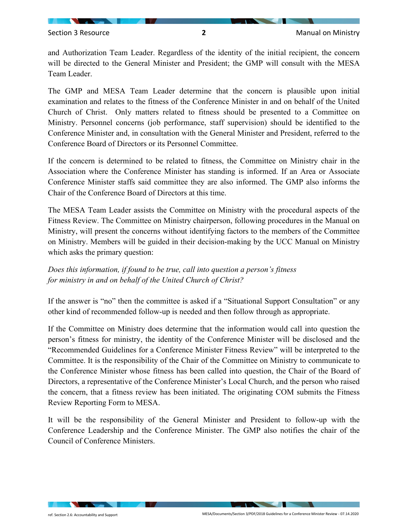and Authorization Team Leader. Regardless of the identity of the initial recipient, the concern will be directed to the General Minister and President; the GMP will consult with the MESA Team Leader.

The GMP and MESA Team Leader determine that the concern is plausible upon initial examination and relates to the fitness of the Conference Minister in and on behalf of the United Church of Christ. Only matters related to fitness should be presented to a Committee on Ministry. Personnel concerns (job performance, staff supervision) should be identified to the Conference Minister and, in consultation with the General Minister and President, referred to the Conference Board of Directors or its Personnel Committee.

If the concern is determined to be related to fitness, the Committee on Ministry chair in the Association where the Conference Minister has standing is informed. If an Area or Associate Conference Minister staffs said committee they are also informed. The GMP also informs the Chair of the Conference Board of Directors at this time.

The MESA Team Leader assists the Committee on Ministry with the procedural aspects of the Fitness Review. The Committee on Ministry chairperson, following procedures in the Manual on Ministry, will present the concerns without identifying factors to the members of the Committee on Ministry. Members will be guided in their decision-making by the UCC Manual on Ministry which asks the primary question:

*Does this information, if found to be true, call into question a person's fitness for ministry in and on behalf of the United Church of Christ?* 

If the answer is "no" then the committee is asked if a "Situational Support Consultation" or any other kind of recommended follow-up is needed and then follow through as appropriate.

If the Committee on Ministry does determine that the information would call into question the person's fitness for ministry, the identity of the Conference Minister will be disclosed and the "Recommended Guidelines for a Conference Minister Fitness Review" will be interpreted to the Committee. It is the responsibility of the Chair of the Committee on Ministry to communicate to the Conference Minister whose fitness has been called into question, the Chair of the Board of Directors, a representative of the Conference Minister's Local Church, and the person who raised the concern, that a fitness review has been initiated. The originating COM submits the Fitness Review Reporting Form to MESA.

It will be the responsibility of the General Minister and President to follow-up with the Conference Leadership and the Conference Minister. The GMP also notifies the chair of the Council of Conference Ministers.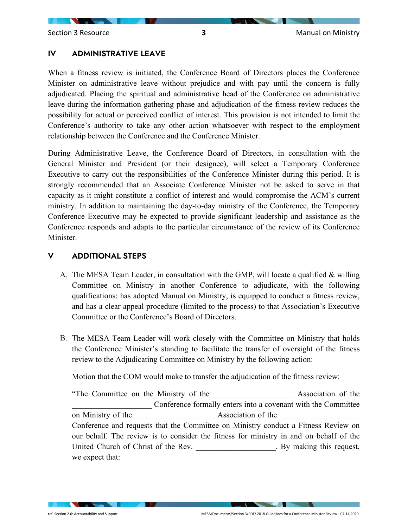#### IV ADMINISTRATIVE LEAVE

When a fitness review is initiated, the Conference Board of Directors places the Conference Minister on administrative leave without prejudice and with pay until the concern is fully adjudicated. Placing the spiritual and administrative head of the Conference on administrative leave during the information gathering phase and adjudication of the fitness review reduces the possibility for actual or perceived conflict of interest. This provision is not intended to limit the Conference's authority to take any other action whatsoever with respect to the employment relationship between the Conference and the Conference Minister.

During Administrative Leave, the Conference Board of Directors, in consultation with the General Minister and President (or their designee), will select a Temporary Conference Executive to carry out the responsibilities of the Conference Minister during this period. It is strongly recommended that an Associate Conference Minister not be asked to serve in that capacity as it might constitute a conflict of interest and would compromise the ACM's current ministry. In addition to maintaining the day-to-day ministry of the Conference, the Temporary Conference Executive may be expected to provide significant leadership and assistance as the Conference responds and adapts to the particular circumstance of the review of its Conference Minister.

#### V ADDITIONAL STEPS

- A. The MESA Team Leader, in consultation with the GMP, will locate a qualified & willing Committee on Ministry in another Conference to adjudicate, with the following qualifications: has adopted Manual on Ministry, is equipped to conduct a fitness review, and has a clear appeal procedure (limited to the process) to that Association's Executive Committee or the Conference's Board of Directors.
- B. The MESA Team Leader will work closely with the Committee on Ministry that holds the Conference Minister's standing to facilitate the transfer of oversight of the fitness review to the Adjudicating Committee on Ministry by the following action:

Motion that the COM would make to transfer the adjudication of the fitness review:

"The Committee on the Ministry of the \_\_\_\_\_\_\_\_\_\_\_\_\_\_\_\_\_\_\_\_ Association of the Conference formally enters into a covenant with the Committee on Ministry of the absociation of the  $\lambda$ ssociation of the  $\lambda$ Conference and requests that the Committee on Ministry conduct a Fitness Review on our behalf. The review is to consider the fitness for ministry in and on behalf of the United Church of Christ of the Rev. By making this request, we expect that:

**Contract Contract Contract Contract**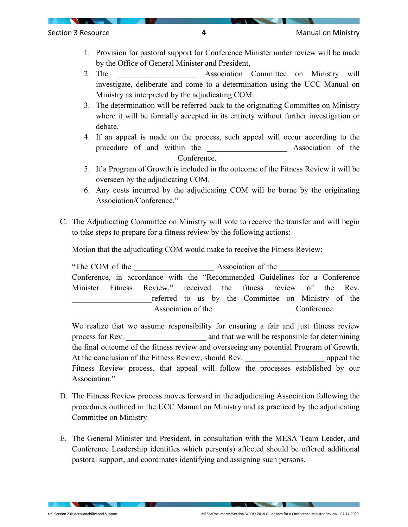- 1. Provision for pastoral support for Conference Minister under review will be made by the Office of General Minister and President,
- 2. The **Association** Committee on Ministry will investigate, deliberate and come to a determination using the UCC Manual on Ministry as interpreted by the adjudicating COM.
- 3. The determination will be referred back to the originating Committee on Ministry where it will be formally accepted in its entirety without further investigation or debate.
- 4. If an appeal is made on the process, such appeal will occur according to the procedure of and within the **Association** of the Conference.
- 5. If a Program of Growth is included in the outcome of the Fitness Review it will be overseen by the adjudicating COM.
- 6. Any costs incurred by the adjudicating COM will be borne by the originating Association/Conference."
- C. The Adjudicating Committee on Ministry will vote to receive the transfer and will begin to take steps to prepare for a fitness review by the following actions:

Motion that the adjudicating COM would make to receive the Fitness Review:

"The COM of the Association of the Conference, in accordance with the "Recommended Guidelines for a Conference Minister Fitness Review," received the fitness review of the Rev. referred to us by the Committee on Ministry of the Association of the Conference.

We realize that we assume responsibility for ensuring a fair and just fitness review process for Rev. The same and that we will be responsible for determining the final outcome of the fitness review and overseeing any potential Program of Growth. At the conclusion of the Fitness Review, should Rev.  $\blacksquare$  appeal the Fitness Review process, that appeal will follow the processes established by our Association."

- D. The Fitness Review process moves forward in the adjudicating Association following the procedures outlined in the UCC Manual on Ministry and as practiced by the adjudicating Committee on Ministry.
- E. The General Minister and President, in consultation with the MESA Team Leader, and Conference Leadership identifies which person(s) affected should be offered additional pastoral support, and coordinates identifying and assigning such persons.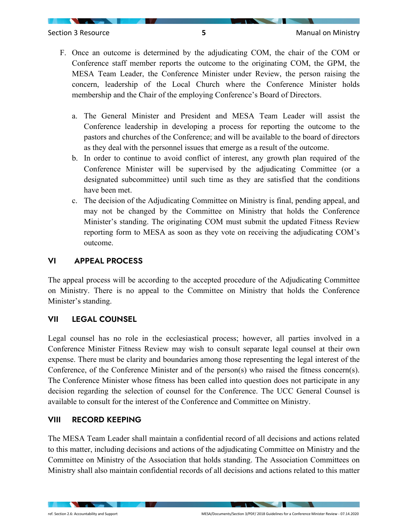- F. Once an outcome is determined by the adjudicating COM, the chair of the COM or Conference staff member reports the outcome to the originating COM, the GPM, the MESA Team Leader, the Conference Minister under Review, the person raising the concern, leadership of the Local Church where the Conference Minister holds membership and the Chair of the employing Conference's Board of Directors.
	- a. The General Minister and President and MESA Team Leader will assist the Conference leadership in developing a process for reporting the outcome to the pastors and churches of the Conference; and will be available to the board of directors as they deal with the personnel issues that emerge as a result of the outcome.
	- b. In order to continue to avoid conflict of interest, any growth plan required of the Conference Minister will be supervised by the adjudicating Committee (or a designated subcommittee) until such time as they are satisfied that the conditions have been met.
	- c. The decision of the Adjudicating Committee on Ministry is final, pending appeal, and may not be changed by the Committee on Ministry that holds the Conference Minister's standing. The originating COM must submit the updated Fitness Review reporting form to MESA as soon as they vote on receiving the adjudicating COM's outcome.

#### VI APPEAL PROCESS

The appeal process will be according to the accepted procedure of the Adjudicating Committee on Ministry. There is no appeal to the Committee on Ministry that holds the Conference Minister's standing.

#### VII LEGAL COUNSEL

Legal counsel has no role in the ecclesiastical process; however, all parties involved in a Conference Minister Fitness Review may wish to consult separate legal counsel at their own expense. There must be clarity and boundaries among those representing the legal interest of the Conference, of the Conference Minister and of the person(s) who raised the fitness concern(s). The Conference Minister whose fitness has been called into question does not participate in any decision regarding the selection of counsel for the Conference. The UCC General Counsel is available to consult for the interest of the Conference and Committee on Ministry.

#### VIII RECORD KEEPING

The MESA Team Leader shall maintain a confidential record of all decisions and actions related to this matter, including decisions and actions of the adjudicating Committee on Ministry and the Committee on Ministry of the Association that holds standing. The Association Committees on Ministry shall also maintain confidential records of all decisions and actions related to this matter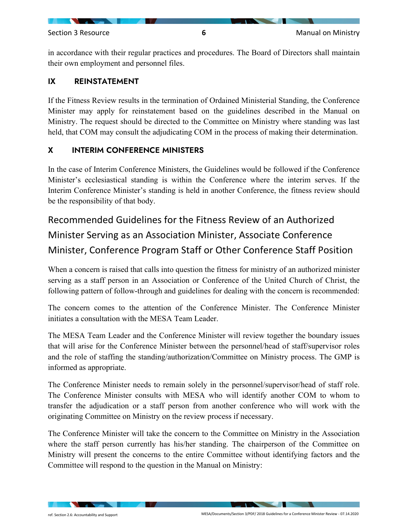in accordance with their regular practices and procedures. The Board of Directors shall maintain their own employment and personnel files.

#### IX REINSTATEMENT

If the Fitness Review results in the termination of Ordained Ministerial Standing, the Conference Minister may apply for reinstatement based on the guidelines described in the Manual on Ministry. The request should be directed to the Committee on Ministry where standing was last held, that COM may consult the adjudicating COM in the process of making their determination.

#### X INTERIM CONFERENCE MINISTERS

In the case of Interim Conference Ministers, the Guidelines would be followed if the Conference Minister's ecclesiastical standing is within the Conference where the interim serves. If the Interim Conference Minister's standing is held in another Conference, the fitness review should be the responsibility of that body.

# Recommended Guidelines for the Fitness Review of an Authorized Minister Serving as an Association Minister, Associate Conference Minister, Conference Program Staff or Other Conference Staff Position

When a concern is raised that calls into question the fitness for ministry of an authorized minister serving as a staff person in an Association or Conference of the United Church of Christ, the following pattern of follow-through and guidelines for dealing with the concern is recommended:

The concern comes to the attention of the Conference Minister. The Conference Minister initiates a consultation with the MESA Team Leader.

The MESA Team Leader and the Conference Minister will review together the boundary issues that will arise for the Conference Minister between the personnel/head of staff/supervisor roles and the role of staffing the standing/authorization/Committee on Ministry process. The GMP is informed as appropriate.

The Conference Minister needs to remain solely in the personnel/supervisor/head of staff role. The Conference Minister consults with MESA who will identify another COM to whom to transfer the adjudication or a staff person from another conference who will work with the originating Committee on Ministry on the review process if necessary.

The Conference Minister will take the concern to the Committee on Ministry in the Association where the staff person currently has his/her standing. The chairperson of the Committee on Ministry will present the concerns to the entire Committee without identifying factors and the Committee will respond to the question in the Manual on Ministry: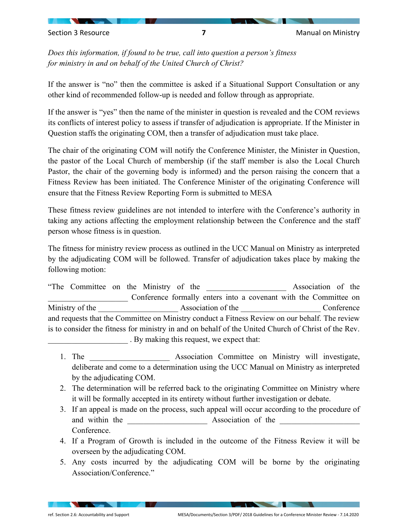*Does this information, if found to be true, call into question a person's fitness for ministry in and on behalf of the United Church of Christ?* 

If the answer is "no" then the committee is asked if a Situational Support Consultation or any other kind of recommended follow-up is needed and follow through as appropriate.

If the answer is "yes" then the name of the minister in question is revealed and the COM reviews its conflicts of interest policy to assess if transfer of adjudication is appropriate. If the Minister in Question staffs the originating COM, then a transfer of adjudication must take place.

The chair of the originating COM will notify the Conference Minister, the Minister in Question, the pastor of the Local Church of membership (if the staff member is also the Local Church Pastor, the chair of the governing body is informed) and the person raising the concern that a Fitness Review has been initiated. The Conference Minister of the originating Conference will ensure that the Fitness Review Reporting Form is submitted to MESA

These fitness review guidelines are not intended to interfere with the Conference's authority in taking any actions affecting the employment relationship between the Conference and the staff person whose fitness is in question.

The fitness for ministry review process as outlined in the UCC Manual on Ministry as interpreted by the adjudicating COM will be followed. Transfer of adjudication takes place by making the following motion:

"The Committee on the Ministry of the 2001 and 2008 Association of the Conference formally enters into a covenant with the Committee on Ministry of the the conference association of the conference conference and  $\lambda$  Conference and requests that the Committee on Ministry conduct a Fitness Review on our behalf. The review is to consider the fitness for ministry in and on behalf of the United Church of Christ of the Rev. \_\_\_\_\_\_\_\_\_\_\_\_\_\_\_\_\_\_\_\_ . By making this request, we expect that:

- 1. The **1. Association Committee on Ministry will investigate,** deliberate and come to a determination using the UCC Manual on Ministry as interpreted by the adjudicating COM.
- 2. The determination will be referred back to the originating Committee on Ministry where it will be formally accepted in its entirety without further investigation or debate.
- 3. If an appeal is made on the process, such appeal will occur according to the procedure of and within the and satisfaction of the and within the  $\lambda$ ssociation of the  $\lambda$ Conference.
- 4. If a Program of Growth is included in the outcome of the Fitness Review it will be overseen by the adjudicating COM.
- 5. Any costs incurred by the adjudicating COM will be borne by the originating Association/Conference."

**STATE OF STREET** 

**The Community of the Community**